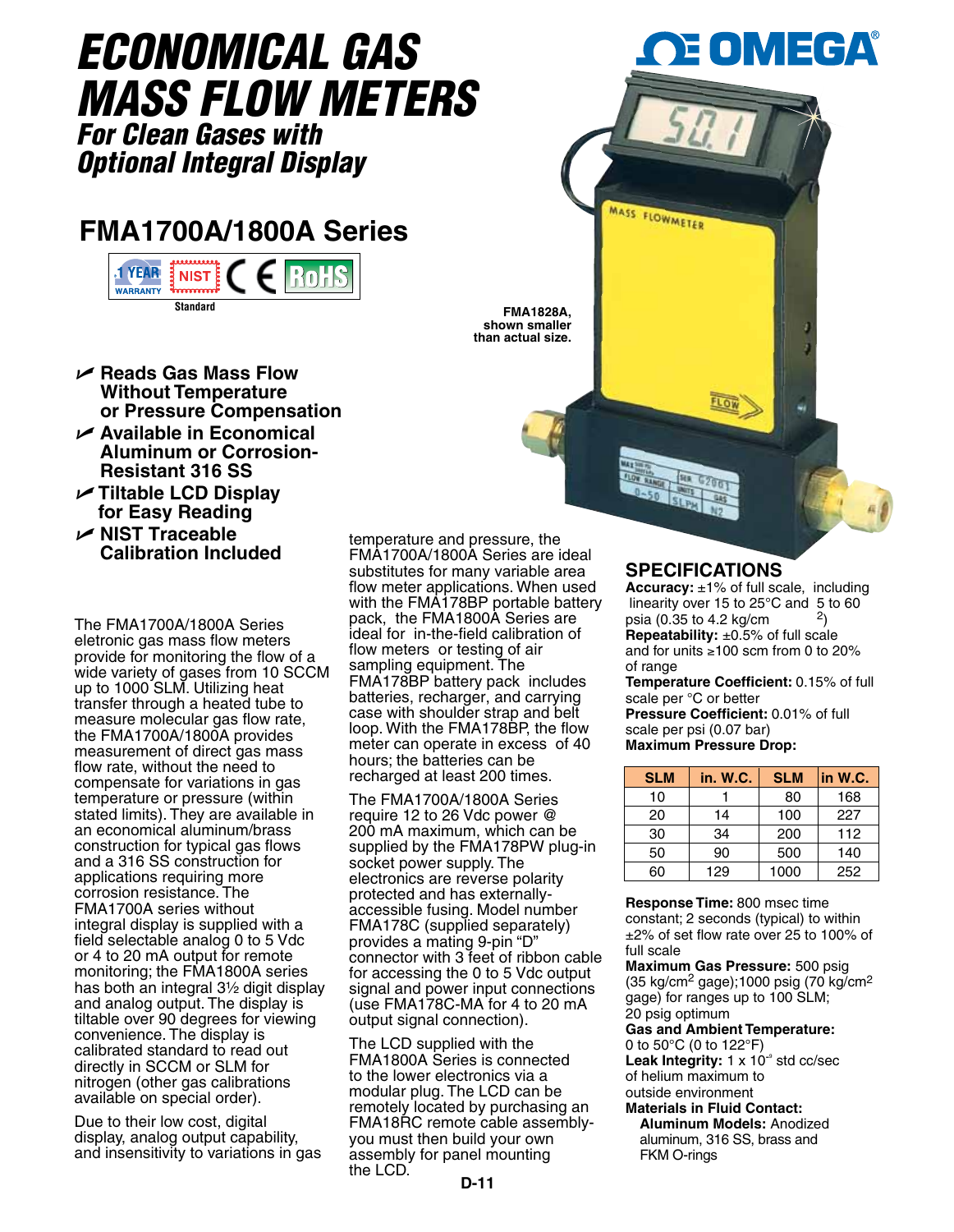# *Economical Gas Mass Flow meters*

*For Clean Gases with Optional Integral Display*

# **FMA1700A/1800A Series**



- U **Reads Gas Mass Flow Without Temperature or Pressure Compensation**
- U **Available in Economical Aluminum or Corrosion-Resistant 316 SS**
- U **Tiltable LCD Display for Easy Reading**
- U **NIST Traceable Calibration Included**

The FMA1700A/1800A Series eletronic gas mass flow meters provide for monitoring the flow of a wide variety of gases from 10 SCCM up to 1000 SLM. Utilizing heat transfer through a heated tube to measure molecular gas flow rate, the FMA1700A/1800A provides measurement of direct gas mass flow rate, without the need to compensate for variations in gas temperature or pressure (within stated limits). They are available in an economical aluminum/brass construction for typical gas flows and a 316 SS construction for applications requiring more corrosion resistance. The FMA1700A series without integral display is supplied with a field selectable analog 0 to 5 Vdc or 4 to 20 mA output for remote monitoring; the FMA1800A series has both an integral  $3\frac{1}{2}$  digit display and analog output. The display is tiltable over 90 degrees for viewing convenience. The display is calibrated standard to read out directly in SCCM or SLM for nitrogen (other gas calibrations available on special order).

Due to their low cost, digital display, analog output capability, and insensitivity to variations in gas

temperature and pressure, the FMA1700A/1800A Series are ideal substitutes for many variable area flow meter applications. When used with the FMA178BP portable battery pack, the FMA1800A Series are ideal for in-the-field calibration of flow meters or testing of air sampling equipment. The FMA178BP battery pack includes batteries, recharger, and carrying case with shoulder strap and belt loop. With the FMA178BP, the flow meter can operate in excess of 40 hours; the batteries can be recharged at least 200 times.

**FMA1828A, shown smaller than actual size.**

The FMA1700A/1800A Series require 12 to 26 Vdc power @ 200 mA maximum, which can be supplied by the FMA178PW plug-in socket power supply. The electronics are reverse polarity protected and has externallyaccessible fusing. Model number FMA178C (supplied separately) provides a mating 9-pin "D" connector with 3 feet of ribbon cable for accessing the 0 to 5 Vdc output signal and power input connections (use FMA178C-MA for 4 to 20 mA output signal connection).

The LCD supplied with the FMA1800A Series is connected to the lower electronics via a modular plug. The LCD can be remotely located by purchasing an FMA18RC remote cable assemblyyou must then build your own assembly for panel mounting the LCD.

## **SPECIFICATIONS**

Low

MASS FLOWMETER

2) **Repeatability:** ±0.5% of full scale and for units ≥100 scm from 0 to 20% of range **Accuracy:** ±1% of full scale, including linearity over 15 to 25°C and 5 to 60 psia (0.35 to 4.2 kg/cm

EOMEGA

**Temperature Coefficient:** 0.15% of full scale per °C or better

**Pressure Coefficient:** 0.01% of full scale per psi (0.07 bar) **Maximum Pressure Drop:**

| <b>SLM</b> | in. W.C. | <b>SLM</b> | in W.C. |
|------------|----------|------------|---------|
| 10         |          | 80         | 168     |
| 20         | 14       | 100        | 227     |
| 30         | 34       | 200        | 112     |
| 50         | 90       | 500        | 140     |
| 60         | 129      | 1000       | 252     |

**Response Time:** 800 msec time constant; 2 seconds (typical) to within ±2% of set flow rate over 25 to 100% of full scale

**Maximum Gas Pressure:** 500 psig (35 kg/cm2 gage);1000 psig (70 kg/cm2 gage) for ranges up to 100 SLM; 20 psig optimum

**Gas and Ambient Temperature:**  0 to 50°C (0 to 122°F)

Leak Integrity: 1 x 10<sup>-</sup> std cc/sec of helium maximum to outside environment

**Materials in Fluid Contact: Aluminum models:** Anodized aluminum, 316 SS, brass and FKM O-rings